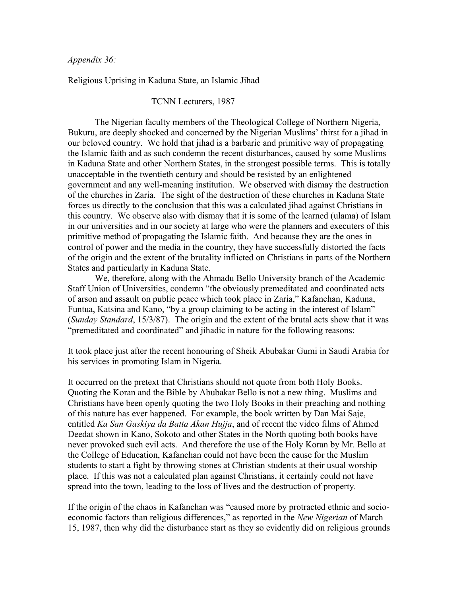## *Appendix 36:*

Religious Uprising in Kaduna State, an Islamic Jihad

## TCNN Lecturers, 1987

The Nigerian faculty members of the Theological College of Northern Nigeria, Bukuru, are deeply shocked and concerned by the Nigerian Muslims' thirst for a jihad in our beloved country. We hold that jihad is a barbaric and primitive way of propagating the Islamic faith and as such condemn the recent disturbances, caused by some Muslims in Kaduna State and other Northern States, in the strongest possible terms. This is totally unacceptable in the twentieth century and should be resisted by an enlightened government and any well-meaning institution. We observed with dismay the destruction of the churches in Zaria. The sight of the destruction of these churches in Kaduna State forces us directly to the conclusion that this was a calculated jihad against Christians in this country. We observe also with dismay that it is some of the learned (ulama) of Islam in our universities and in our society at large who were the planners and executers of this primitive method of propagating the Islamic faith. And because they are the ones in control of power and the media in the country, they have successfully distorted the facts of the origin and the extent of the brutality inflicted on Christians in parts of the Northern States and particularly in Kaduna State.

We, therefore, along with the Ahmadu Bello University branch of the Academic Staff Union of Universities, condemn "the obviously premeditated and coordinated acts of arson and assault on public peace which took place in Zaria," Kafanchan, Kaduna, Funtua, Katsina and Kano, "by a group claiming to be acting in the interest of Islam" (*Sunday Standard*, 15/3/87). The origin and the extent of the brutal acts show that it was "premeditated and coordinated" and jihadic in nature for the following reasons:

It took place just after the recent honouring of Sheik Abubakar Gumi in Saudi Arabia for his services in promoting Islam in Nigeria.

It occurred on the pretext that Christians should not quote from both Holy Books. Quoting the Koran and the Bible by Abubakar Bello is not a new thing. Muslims and Christians have been openly quoting the two Holy Books in their preaching and nothing of this nature has ever happened. For example, the book written by Dan Mai Saje, entitled *Ka San Gaskiya da Batta Akan Hujja*, and of recent the video films of Ahmed Deedat shown in Kano, Sokoto and other States in the North quoting both books have never provoked such evil acts. And therefore the use of the Holy Koran by Mr. Bello at the College of Education, Kafanchan could not have been the cause for the Muslim students to start a fight by throwing stones at Christian students at their usual worship place. If this was not a calculated plan against Christians, it certainly could not have spread into the town, leading to the loss of lives and the destruction of property.

If the origin of the chaos in Kafanchan was "caused more by protracted ethnic and socioeconomic factors than religious differences," as reported in the *New Nigerian* of March 15, 1987, then why did the disturbance start as they so evidently did on religious grounds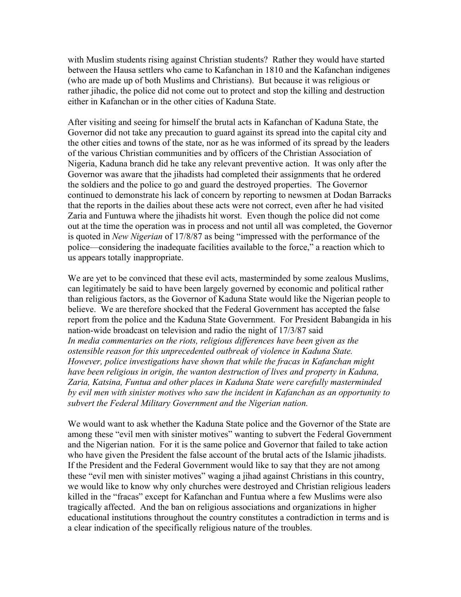with Muslim students rising against Christian students? Rather they would have started between the Hausa settlers who came to Kafanchan in 1810 and the Kafanchan indigenes (who are made up of both Muslims and Christians). But because it was religious or rather jihadic, the police did not come out to protect and stop the killing and destruction either in Kafanchan or in the other cities of Kaduna State.

After visiting and seeing for himself the brutal acts in Kafanchan of Kaduna State, the Governor did not take any precaution to guard against its spread into the capital city and the other cities and towns of the state, nor as he was informed of its spread by the leaders of the various Christian communities and by officers of the Christian Association of Nigeria, Kaduna branch did he take any relevant preventive action. It was only after the Governor was aware that the jihadists had completed their assignments that he ordered the soldiers and the police to go and guard the destroyed properties. The Governor continued to demonstrate his lack of concern by reporting to newsmen at Dodan Barracks that the reports in the dailies about these acts were not correct, even after he had visited Zaria and Funtuwa where the jihadists hit worst. Even though the police did not come out at the time the operation was in process and not until all was completed, the Governor is quoted in *New Nigerian* of 17/8/87 as being "impressed with the performance of the police—considering the inadequate facilities available to the force," a reaction which to us appears totally inappropriate.

We are yet to be convinced that these evil acts, masterminded by some zealous Muslims, can legitimately be said to have been largely governed by economic and political rather than religious factors, as the Governor of Kaduna State would like the Nigerian people to believe. We are therefore shocked that the Federal Government has accepted the false report from the police and the Kaduna State Government. For President Babangida in his nation-wide broadcast on television and radio the night of 17/3/87 said In media commentaries on the riots, religious differences have been given as the *ostensible reason for this unprecedented outbreak of violence in Kaduna State. However, police investigations have shown that while the fracas in Kafanchan might have been religious in origin, the wanton destruction of lives and property in Kaduna, Zaria, Katsina, Funtua and other places in Kaduna State were carefully masterminded by evil men with sinister motives who saw the incident in Kafanchan as an opportunity to subvert the Federal Military Government and the Nigerian nation.*

We would want to ask whether the Kaduna State police and the Governor of the State are among these "evil men with sinister motives" wanting to subvert the Federal Government and the Nigerian nation. For it is the same police and Governor that failed to take action who have given the President the false account of the brutal acts of the Islamic jihadists. If the President and the Federal Government would like to say that they are not among these "evil men with sinister motives" waging a jihad against Christians in this country, we would like to know why only churches were destroyed and Christian religious leaders killed in the "fracas" except for Kafanchan and Funtua where a few Muslims were also tragically affected. And the ban on religious associations and organizations in higher educational institutions throughout the country constitutes a contradiction in terms and is a clear indication of the specifically religious nature of the troubles.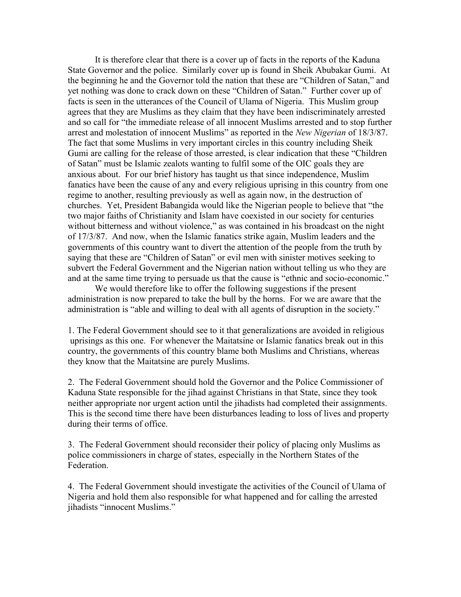It is therefore clear that there is a cover up of facts in the reports of the Kaduna State Governor and the police. Similarly cover up is found in Sheik Abubakar Gumi. At the beginning he and the Governor told the nation that these are "Children of Satan," and yet nothing was done to crack down on these "Children of Satan." Further cover up of facts is seen in the utterances of the Council of Ulama of Nigeria. This Muslim group agrees that they are Muslims as they claim that they have been indiscriminately arrested and so call for "the immediate release of all innocent Muslims arrested and to stop further arrest and molestation of innocent Muslims" as reported in the *New Nigerian* of 18/3/87. The fact that some Muslims in very important circles in this country including Sheik Gumi are calling for the release of those arrested, is clear indication that these "Children of Satan" must be Islamic zealots wanting to fulfil some of the OIC goals they are anxious about. For our brief history has taught us that since independence, Muslim fanatics have been the cause of any and every religious uprising in this country from one regime to another, resulting previously as well as again now, in the destruction of churches. Yet, President Babangida would like the Nigerian people to believe that "the two major faiths of Christianity and Islam have coexisted in our society for centuries without bitterness and without violence," as was contained in his broadcast on the night of 17/3/87. And now, when the Islamic fanatics strike again, Muslim leaders and the governments of this country want to divert the attention of the people from the truth by saying that these are "Children of Satan" or evil men with sinister motives seeking to subvert the Federal Government and the Nigerian nation without telling us who they are and at the same time trying to persuade us that the cause is "ethnic and socio-economic."

We would therefore like to offer the following suggestions if the present administration is now prepared to take the bull by the horns. For we are aware that the administration is "able and willing to deal with all agents of disruption in the society."

1. The Federal Government should see to it that generalizations are avoided in religious uprisings as this one. For whenever the Maitatsine or Islamic fanatics break out in this country, the governments of this country blame both Muslims and Christians, whereas they know that the Maitatsine are purely Muslims.

2. The Federal Government should hold the Governor and the Police Commissioner of Kaduna State responsible for the jihad against Christians in that State, since they took neither appropriate nor urgent action until the jihadists had completed their assignments. This is the second time there have been disturbances leading to loss of lives and property during their terms of office.

3. The Federal Government should reconsider their policy of placing only Muslims as police commissioners in charge of states, especially in the Northern States of the Federation.

4. The Federal Government should investigate the activities of the Council of Ulama of Nigeria and hold them also responsible for what happened and for calling the arrested jihadists "innocent Muslims."